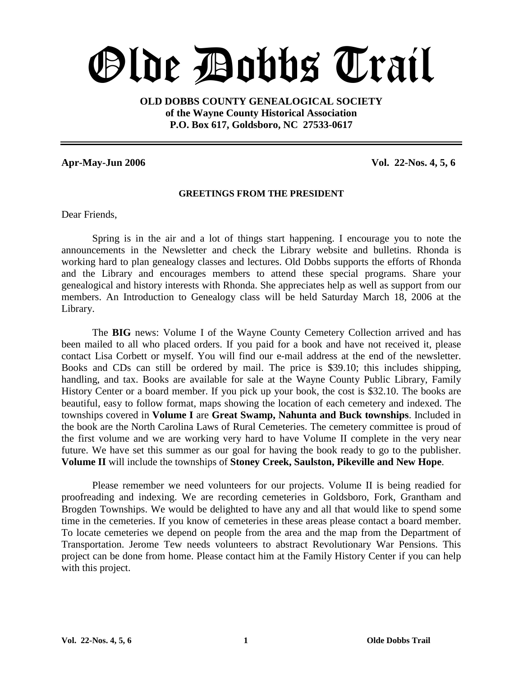# Olde Dobbs Trail

**OLD DOBBS COUNTY GENEALOGICAL SOCIETY of the Wayne County Historical Association P.O. Box 617, Goldsboro, NC 27533-0617**

**Apr-May-Jun 2006 Vol. 22-Nos. 4, 5, 6**

#### **GREETINGS FROM THE PRESIDENT**

Dear Friends,

Spring is in the air and a lot of things start happening. I encourage you to note the announcements in the Newsletter and check the Library website and bulletins. Rhonda is working hard to plan genealogy classes and lectures. Old Dobbs supports the efforts of Rhonda and the Library and encourages members to attend these special programs. Share your genealogical and history interests with Rhonda. She appreciates help as well as support from our members. An Introduction to Genealogy class will be held Saturday March 18, 2006 at the Library.

The **BIG** news: Volume I of the Wayne County Cemetery Collection arrived and has been mailed to all who placed orders. If you paid for a book and have not received it, please contact Lisa Corbett or myself. You will find our e-mail address at the end of the newsletter. Books and CDs can still be ordered by mail. The price is \$39.10; this includes shipping, handling, and tax. Books are available for sale at the Wayne County Public Library, Family History Center or a board member. If you pick up your book, the cost is \$32.10. The books are beautiful, easy to follow format, maps showing the location of each cemetery and indexed. The townships covered in **Volume I** are **Great Swamp, Nahunta and Buck townships**. Included in the book are the North Carolina Laws of Rural Cemeteries. The cemetery committee is proud of the first volume and we are working very hard to have Volume II complete in the very near future. We have set this summer as our goal for having the book ready to go to the publisher. **Volume II** will include the townships of **Stoney Creek, Saulston, Pikeville and New Hope**.

Please remember we need volunteers for our projects. Volume II is being readied for proofreading and indexing. We are recording cemeteries in Goldsboro, Fork, Grantham and Brogden Townships. We would be delighted to have any and all that would like to spend some time in the cemeteries. If you know of cemeteries in these areas please contact a board member. To locate cemeteries we depend on people from the area and the map from the Department of Transportation. Jerome Tew needs volunteers to abstract Revolutionary War Pensions. This project can be done from home. Please contact him at the Family History Center if you can help with this project.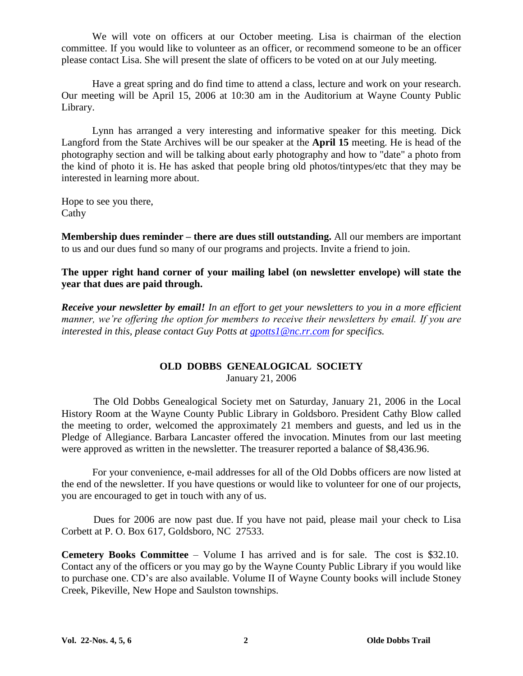We will vote on officers at our October meeting. Lisa is chairman of the election committee. If you would like to volunteer as an officer, or recommend someone to be an officer please contact Lisa. She will present the slate of officers to be voted on at our July meeting.

Have a great spring and do find time to attend a class, lecture and work on your research. Our meeting will be April 15, 2006 at 10:30 am in the Auditorium at Wayne County Public Library.

Lynn has arranged a very interesting and informative speaker for this meeting. Dick Langford from the State Archives will be our speaker at the **April 15** meeting. He is head of the photography section and will be talking about early photography and how to "date" a photo from the kind of photo it is. He has asked that people bring old photos/tintypes/etc that they may be interested in learning more about.

Hope to see you there, Cathy

**Membership dues reminder –there are dues still outstanding.** All our members are important to us and our dues fund so many of our programs and projects. Invite a friend to join.

**The upper right hand corner of your mailing label (on newsletter envelope) will state the year that dues are paid through.**

*Receive your newsletter by email! In an effort to get your newsletters to you in a more efficient manner, we're offering the option for members to receive their newsletters by email. If you are interested in this, please contact Guy Potts at gpotts1@nc.rr.com for specifics.*

#### **OLD DOBBS GENEALOGICAL SOCIETY** January 21, 2006

The Old Dobbs Genealogical Society met on Saturday, January 21, 2006 in the Local History Room at the Wayne County Public Library in Goldsboro. President Cathy Blow called the meeting to order, welcomed the approximately 21 members and guests, and led us in the Pledge of Allegiance. Barbara Lancaster offered the invocation. Minutes from our last meeting were approved as written in the newsletter. The treasurer reported a balance of \$8,436.96.

For your convenience, e-mail addresses for all of the Old Dobbs officers are now listed at the end of the newsletter. If you have questions or would like to volunteer for one of our projects, you are encouraged to get in touch with any of us.

Dues for 2006 are now past due. If you have not paid, please mail your check to Lisa Corbett at P. O. Box 617, Goldsboro, NC 27533.

**Cemetery Books Committee** – Volume I has arrived and is for sale. The cost is \$32.10. Contact any of the officers or you may go by the Wayne County Public Library if you would like to purchase one. CD's are also available. Volume II of Wayne County books will include Stoney Creek, Pikeville, New Hope and Saulston townships.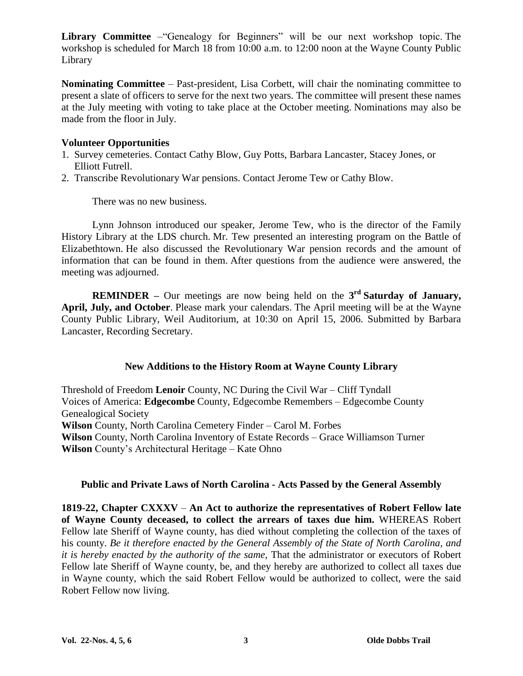**Library Committee** – "Genealogy for Beginners" will be our next workshop topic. The workshop is scheduled for March 18 from 10:00 a.m. to 12:00 noon at the Wayne County Public Library

**Nominating Committee** – Past-president, Lisa Corbett, will chair the nominating committee to present a slate of officers to serve for the next two years. The committee will present these names at the July meeting with voting to take place at the October meeting. Nominations may also be made from the floor in July.

#### **Volunteer Opportunities**

- 1. Survey cemeteries. Contact Cathy Blow, Guy Potts, Barbara Lancaster, Stacey Jones, or Elliott Futrell.
- 2. Transcribe Revolutionary War pensions. Contact Jerome Tew or Cathy Blow.

There was no new business.

Lynn Johnson introduced our speaker, Jerome Tew, who is the director of the Family History Library at the LDS church. Mr. Tew presented an interesting program on the Battle of Elizabethtown. He also discussed the Revolutionary War pension records and the amount of information that can be found in them. After questions from the audience were answered, the meeting was adjourned.

**REMINDER –**Our meetings are now being held on the **3 rd Saturday of January, April, July, and October**. Please mark your calendars. The April meeting will be at the Wayne County Public Library, Weil Auditorium, at 10:30 on April 15, 2006. Submitted by Barbara Lancaster, Recording Secretary.

#### **New Additions to the History Room at Wayne County Library**

Threshold of Freedom **Lenoir** County, NC During the Civil War –Cliff Tyndall Voices of America: **Edgecombe** County, Edgecombe Remembers –Edgecombe County Genealogical Society **Wilson** County, North Carolina Cemetery Finder –Carol M. Forbes **Wilson** County, North Carolina Inventory of Estate Records –Grace Williamson Turner **Wilson** County's Architectural Heritage – Kate Ohno

#### **Public and Private Laws of North Carolina - Acts Passed by the General Assembly**

**1819-22, Chapter CXXXV** –**An Act to authorize the representatives of Robert Fellow late of Wayne County deceased, to collect the arrears of taxes due him.** WHEREAS Robert Fellow late Sheriff of Wayne county, has died without completing the collection of the taxes of his county. *Be it therefore enacted by the General Assembly of the State of North Carolina, and it is hereby enacted by the authority of the same,* That the administrator or executors of Robert Fellow late Sheriff of Wayne county, be, and they hereby are authorized to collect all taxes due in Wayne county, which the said Robert Fellow would be authorized to collect, were the said Robert Fellow now living.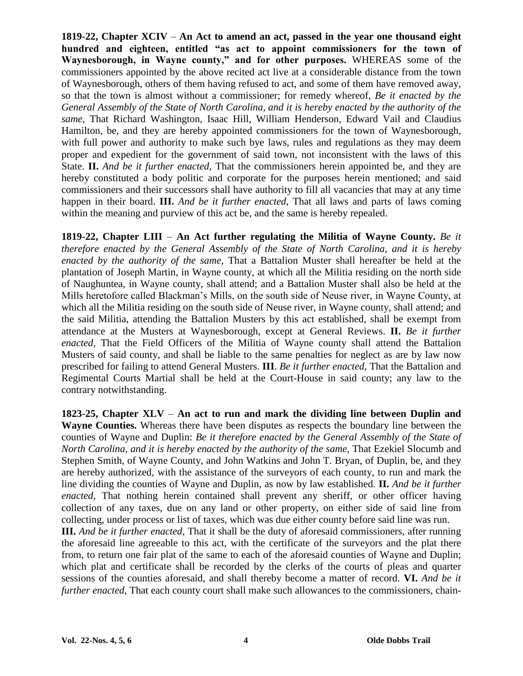**1819-22, Chapter XCIV** –**An Act to amend an act, passed in the year one thousand eight** hundred and eighteen, entitled "as act to appoint commissioners for the town of Waynesborough, in Wayne county," and for other purposes. WHEREAS some of the commissioners appointed by the above recited act live at a considerable distance from the town of Waynesborough, others of them having refused to act, and some of them have removed away, so that the town is almost without a commissioner; for remedy whereof, *Be it enacted by the General Assembly of the State of North Carolina, and it is hereby enacted by the authority of the same,* That Richard Washington, Isaac Hill, William Henderson, Edward Vail and Claudius Hamilton, be, and they are hereby appointed commissioners for the town of Waynesborough, with full power and authority to make such bye laws, rules and regulations as they may deem proper and expedient for the government of said town, not inconsistent with the laws of this State. **II.** *And be it further enacted,* That the commissioners herein appointed be, and they are hereby constituted a body politic and corporate for the purposes herein mentioned; and said commissioners and their successors shall have authority to fill all vacancies that may at any time happen in their board. **III.** *And be it further enacted,* That all laws and parts of laws coming within the meaning and purview of this act be, and the same is hereby repealed.

**1819-22, Chapter LIII** –**An Act further regulating the Militia of Wayne County.** *Be it therefore enacted by the General Assembly of the State of North Carolina, and it is hereby enacted by the authority of the same,* That a Battalion Muster shall hereafter be held at the plantation of Joseph Martin, in Wayne county, at which all the Militia residing on the north side of Naughuntea, in Wayne county, shall attend; and a Battalion Muster shall also be held at the Mills heretofore called Blackman's Mills, on the south side of Neuse river, in Wayne County, at which all the Militia residing on the south side of Neuse river, in Wayne county, shall attend; and the said Militia, attending the Battalion Musters by this act established, shall be exempt from attendance at the Musters at Waynesborough, except at General Reviews. **II.** *Be it further enacted,* That the Field Officers of the Militia of Wayne county shall attend the Battalion Musters of said county, and shall be liable to the same penalties for neglect as are by law now prescribed for failing to attend General Musters. **III**. *Be it further enacted,* That the Battalion and Regimental Courts Martial shall be held at the Court-House in said county; any law to the contrary notwithstanding.

**1823-25, Chapter XLV** –**An act to run and mark the dividing line between Duplin and Wayne Counties.** Whereas there have been disputes as respects the boundary line between the counties of Wayne and Duplin: *Be it therefore enacted by the General Assembly of the State of North Carolina, and it is hereby enacted by the authority of the same,* That Ezekiel Slocumb and Stephen Smith, of Wayne County, and John Watkins and John T. Bryan, of Duplin, be, and they are hereby authorized, with the assistance of the surveyors of each county, to run and mark the line dividing the counties of Wayne and Duplin, as now by law established. **II.** *And be it further enacted,* That nothing herein contained shall prevent any sheriff, or other officer having collection of any taxes, due on any land or other property, on either side of said line from collecting, under process or list of taxes, which was due either county before said line was run.

**III.** *And be it further enacted,* That it shall be the duty of aforesaid commissioners, after running the aforesaid line agreeable to this act, with the certificate of the surveyors and the plat there from, to return one fair plat of the same to each of the aforesaid counties of Wayne and Duplin; which plat and certificate shall be recorded by the clerks of the courts of pleas and quarter sessions of the counties aforesaid, and shall thereby become a matter of record. **VI.** *And be it further enacted*, That each county court shall make such allowances to the commissioners, chain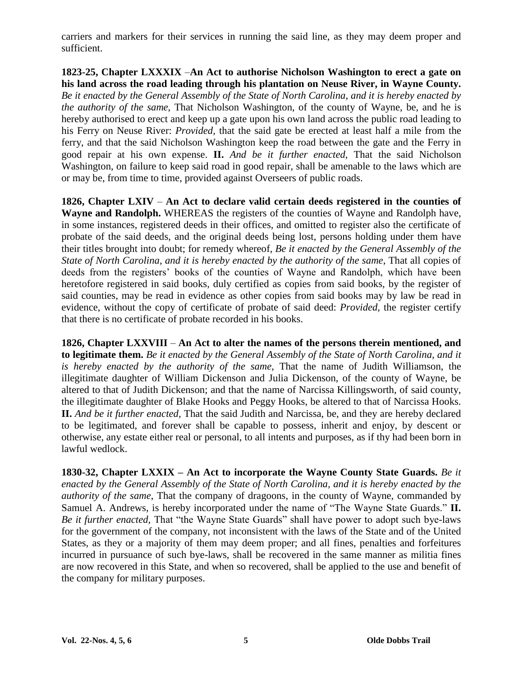carriers and markers for their services in running the said line, as they may deem proper and sufficient.

**1823-25, Chapter LXXXIX** –**An Act to authorise Nicholson Washington to erect a gate on his land across the road leading through his plantation on Neuse River, in Wayne County.** *Be it enacted by the General Assembly of the State of North Carolina, and it is hereby enacted by the authority of the same*, That Nicholson Washington, of the county of Wayne, be, and he is hereby authorised to erect and keep up a gate upon his own land across the public road leading to his Ferry on Neuse River: *Provided,* that the said gate be erected at least half a mile from the ferry, and that the said Nicholson Washington keep the road between the gate and the Ferry in good repair at his own expense. **II.** *And be it further enacted,* That the said Nicholson Washington, on failure to keep said road in good repair, shall be amenable to the laws which are or may be, from time to time, provided against Overseers of public roads.

**1826, Chapter LXIV** –**An Act to declare valid certain deeds registered in the counties of Wayne and Randolph.** WHEREAS the registers of the counties of Wayne and Randolph have, in some instances, registered deeds in their offices, and omitted to register also the certificate of probate of the said deeds, and the original deeds being lost, persons holding under them have their titles brought into doubt; for remedy whereof, *Be it enacted by the General Assembly of the State of North Carolina, and it is hereby enacted by the authority of the same*, That all copies of deeds from the registers' books of the counties of Wayne and Randolph, which have been heretofore registered in said books, duly certified as copies from said books, by the register of said counties, may be read in evidence as other copies from said books may by law be read in evidence, without the copy of certificate of probate of said deed: *Provided,* the register certify that there is no certificate of probate recorded in his books.

**1826, Chapter LXXVIII** –**An Act to alter the names of the persons therein mentioned, and to legitimate them.** *Be it enacted by the General Assembly of the State of North Carolina, and it is hereby enacted by the authority of the same*, That the name of Judith Williamson, the illegitimate daughter of William Dickenson and Julia Dickenson, of the county of Wayne, be altered to that of Judith Dickenson; and that the name of Narcissa Killingsworth, of said county, the illegitimate daughter of Blake Hooks and Peggy Hooks, be altered to that of Narcissa Hooks. **II.** *And be it further enacted,* That the said Judith and Narcissa, be, and they are hereby declared to be legitimated, and forever shall be capable to possess, inherit and enjoy, by descent or otherwise, any estate either real or personal, to all intents and purposes, as if thy had been born in lawful wedlock.

**1830-32, Chapter LXXIX –An Act to incorporate the Wayne County State Guards.** *Be it enacted by the General Assembly of the State of North Carolina, and it is hereby enacted by the authority of the same*, That the company of dragoons, in the county of Wayne, commanded by Samuel A. Andrews, is hereby incorporated under the name of "The Wayne State Guards." **II.** *Be it further enacted*, That "the Wayne State Guards" shall have power to adopt such bye-laws for the government of the company, not inconsistent with the laws of the State and of the United States, as they or a majority of them may deem proper; and all fines, penalties and forfeitures incurred in pursuance of such bye-laws, shall be recovered in the same manner as militia fines are now recovered in this State, and when so recovered, shall be applied to the use and benefit of the company for military purposes.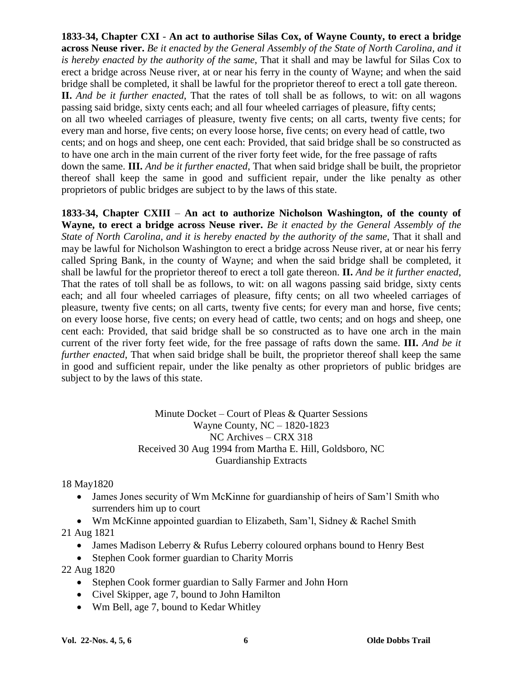**1833-34, Chapter CXI** - **An act to authorise Silas Cox, of Wayne County, to erect a bridge across Neuse river.** *Be it enacted by the General Assembly of the State of North Carolina, and it is hereby enacted by the authority of the same*, That it shall and may be lawful for Silas Cox to erect a bridge across Neuse river, at or near his ferry in the county of Wayne; and when the said bridge shall be completed, it shall be lawful for the proprietor thereof to erect a toll gate thereon. **II.** *And be it further enacted*, That the rates of toll shall be as follows, to wit: on all wagons passing said bridge, sixty cents each; and all four wheeled carriages of pleasure, fifty cents; on all two wheeled carriages of pleasure, twenty five cents; on all carts, twenty five cents; for every man and horse, five cents; on every loose horse, five cents; on every head of cattle, two cents; and on hogs and sheep, one cent each: Provided, that said bridge shall be so constructed as to have one arch in the main current of the river forty feet wide, for the free passage of rafts down the same. **III.** *And be it further enacted*, That when said bridge shall be built, the proprietor thereof shall keep the same in good and sufficient repair, under the like penalty as other proprietors of public bridges are subject to by the laws of this state.

**1833-34, Chapter CXIII** –**An act to authorize Nicholson Washington, of the county of Wayne, to erect a bridge across Neuse river.** *Be it enacted by the General Assembly of the State of North Carolina, and it is hereby enacted by the authority of the same*, That it shall and may be lawful for Nicholson Washington to erect a bridge across Neuse river, at or near his ferry called Spring Bank, in the county of Wayne; and when the said bridge shall be completed, it shall be lawful for the proprietor thereof to erect a toll gate thereon. **II.** *And be it further enacted*, That the rates of toll shall be as follows, to wit: on all wagons passing said bridge, sixty cents each; and all four wheeled carriages of pleasure, fifty cents; on all two wheeled carriages of pleasure, twenty five cents; on all carts, twenty five cents; for every man and horse, five cents; on every loose horse, five cents; on every head of cattle, two cents; and on hogs and sheep, one cent each: Provided, that said bridge shall be so constructed as to have one arch in the main current of the river forty feet wide, for the free passage of rafts down the same. **III.** *And be it further enacted*, That when said bridge shall be built, the proprietor thereof shall keep the same in good and sufficient repair, under the like penalty as other proprietors of public bridges are subject to by the laws of this state.

> Minute Docket –Court of Pleas & Quarter Sessions Wayne County, NC –1820-1823 NC Archives –CRX 318 Received 30 Aug 1994 from Martha E. Hill, Goldsboro, NC Guardianship Extracts

18 May1820

• James Jones security of Wm McKinne for guardianship of heirs of Sam'l Smith who surrenders him up to court

• Wm McKinne appointed guardian to Elizabeth, Sam'l, Sidney & Rachel Smith

21 Aug 1821

- James Madison Leberry & Rufus Leberry coloured orphans bound to Henry Best
- Stephen Cook former guardian to Charity Morris
- 22 Aug 1820
	- Stephen Cook former guardian to Sally Farmer and John Horn
	- Civel Skipper, age 7, bound to John Hamilton
	- Wm Bell, age 7, bound to Kedar Whitley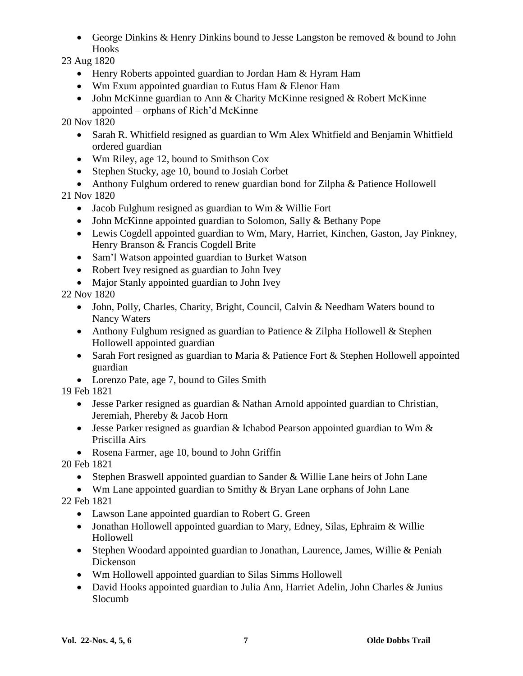George Dinkins & Henry Dinkins bound to Jesse Langston be removed & bound to John Hooks

23 Aug 1820

- Henry Roberts appointed guardian to Jordan Ham & Hyram Ham
- Wm Exum appointed guardian to Eutus Ham & Elenor Ham
- John McKinne guardian to Ann & Charity McKinne resigned & Robert McKinne appointed – orphans of Rich'd McKinne

20 Nov 1820

- Sarah R. Whitfield resigned as guardian to Wm Alex Whitfield and Benjamin Whitfield ordered guardian
- Wm Riley, age 12, bound to Smithson Cox
- Stephen Stucky, age 10, bound to Josiah Corbet
- Anthony Fulghum ordered to renew guardian bond for Zilpha & Patience Hollowell

21 Nov 1820

- Jacob Fulghum resigned as guardian to Wm & Willie Fort
- John McKinne appointed guardian to Solomon, Sally & Bethany Pope
- Lewis Cogdell appointed guardian to Wm, Mary, Harriet, Kinchen, Gaston, Jay Pinkney, Henry Branson & Francis Cogdell Brite
- Sam'l Watson appointed guardian to Burket Watson
- Robert Ivey resigned as guardian to John Ivey
- Major Stanly appointed guardian to John Ivey

22 Nov 1820

- John, Polly, Charles, Charity, Bright, Council, Calvin & Needham Waters bound to Nancy Waters
- Anthony Fulghum resigned as guardian to Patience & Zilpha Hollowell & Stephen Hollowell appointed guardian
- Sarah Fort resigned as guardian to Maria & Patience Fort & Stephen Hollowell appointed guardian
- Lorenzo Pate, age 7, bound to Giles Smith

19 Feb 1821

- Jesse Parker resigned as guardian & Nathan Arnold appointed guardian to Christian, Jeremiah, Phereby & Jacob Horn
- **Jesse Parker resigned as guardian & Ichabod Pearson appointed guardian to Wm &** Priscilla Airs
- Rosena Farmer, age 10, bound to John Griffin

20 Feb 1821

• Stephen Braswell appointed guardian to Sander & Willie Lane heirs of John Lane

• Wm Lane appointed guardian to Smithy & Bryan Lane orphans of John Lane

22 Feb 1821

- Lawson Lane appointed guardian to Robert G. Green
- Jonathan Hollowell appointed guardian to Mary, Edney, Silas, Ephraim & Willie Hollowell
- Stephen Woodard appointed guardian to Jonathan, Laurence, James, Willie & Peniah Dickenson
- Wm Hollowell appointed guardian to Silas Simms Hollowell
- David Hooks appointed guardian to Julia Ann, Harriet Adelin, John Charles & Junius Slocumb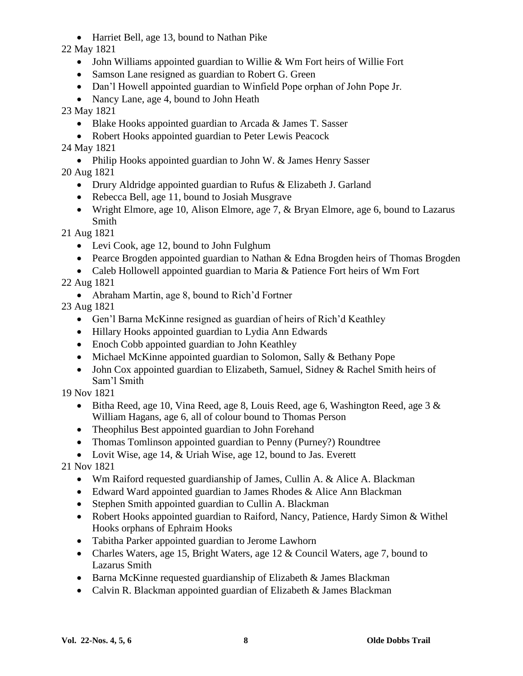Harriet Bell, age 13, bound to Nathan Pike

22 May 1821

- John Williams appointed guardian to Willie & Wm Fort heirs of Willie Fort
- Samson Lane resigned as guardian to Robert G. Green
- Dan'l Howell appointed guardian to Winfield Pope orphan of John Pope Jr.
- Nancy Lane, age 4, bound to John Heath
- 23 May 1821
	- Blake Hooks appointed guardian to Arcada & James T. Sasser
	- Robert Hooks appointed guardian to Peter Lewis Peacock

24 May 1821

• Philip Hooks appointed guardian to John W. & James Henry Sasser 20 Aug 1821

- Drury Aldridge appointed guardian to Rufus & Elizabeth J. Garland
- Rebecca Bell, age 11, bound to Josiah Musgrave
- Wright Elmore, age 10, Alison Elmore, age 7,  $&$  Bryan Elmore, age 6, bound to Lazarus Smith

21 Aug 1821

- Levi Cook, age 12, bound to John Fulghum
- Pearce Brogden appointed guardian to Nathan & Edna Brogden heirs of Thomas Brogden
- Caleb Hollowell appointed guardian to Maria & Patience Fort heirs of Wm Fort

22 Aug 1821

• Abraham Martin, age 8, bound to Rich'd Fortner

23 Aug 1821

- Gen'l Barna McKinne resigned as guardian of heirs of Rich'd Keathley
- Hillary Hooks appointed guardian to Lydia Ann Edwards
- Enoch Cobb appointed guardian to John Keathley
- Michael McKinne appointed guardian to Solomon, Sally & Bethany Pope
- John Cox appointed guardian to Elizabeth, Samuel, Sidney & Rachel Smith heirs of Sam'l Smith

19 Nov 1821

- $\bullet$  Bitha Reed, age 10, Vina Reed, age 8, Louis Reed, age 6, Washington Reed, age 3 & William Hagans, age 6, all of colour bound to Thomas Person
- Theophilus Best appointed guardian to John Forehand
- Thomas Tomlinson appointed guardian to Penny (Purney?) Roundtree

• Lovit Wise, age 14, & Uriah Wise, age 12, bound to Jas. Everett

21 Nov 1821

- Wm Raiford requested guardianship of James, Cullin A. & Alice A. Blackman
- Edward Ward appointed guardian to James Rhodes & Alice Ann Blackman
- Stephen Smith appointed guardian to Cullin A. Blackman
- Robert Hooks appointed guardian to Raiford, Nancy, Patience, Hardy Simon & Withel Hooks orphans of Ephraim Hooks
- Tabitha Parker appointed guardian to Jerome Lawhorn
- Charles Waters, age 15, Bright Waters, age 12 & Council Waters, age 7, bound to Lazarus Smith
- Barna McKinne requested guardianship of Elizabeth & James Blackman
- Calvin R. Blackman appointed guardian of Elizabeth & James Blackman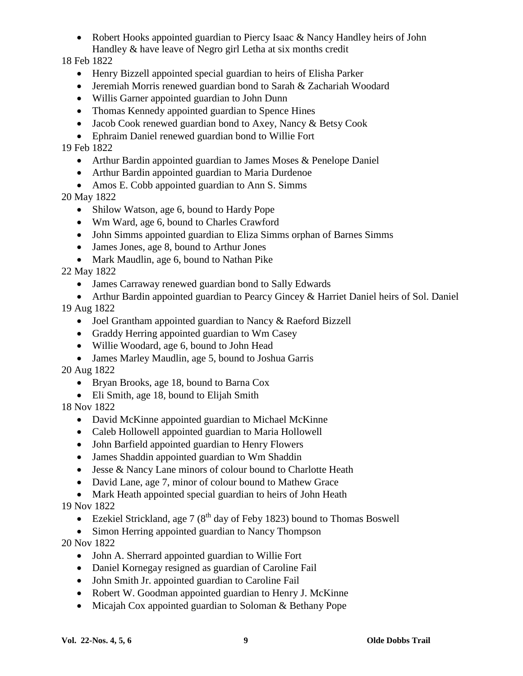• Robert Hooks appointed guardian to Piercy Isaac & Nancy Handley heirs of John Handley & have leave of Negro girl Letha at six months credit

18 Feb 1822

- Henry Bizzell appointed special guardian to heirs of Elisha Parker
- Jeremiah Morris renewed guardian bond to Sarah & Zachariah Woodard
- Willis Garner appointed guardian to John Dunn
- Thomas Kennedy appointed guardian to Spence Hines
- Jacob Cook renewed guardian bond to Axey, Nancy & Betsy Cook
- Ephraim Daniel renewed guardian bond to Willie Fort

19 Feb 1822

- Arthur Bardin appointed guardian to James Moses & Penelope Daniel
- Arthur Bardin appointed guardian to Maria Durdenoe
- Amos E. Cobb appointed guardian to Ann S. Simms

20 May 1822

- Shilow Watson, age 6, bound to Hardy Pope
- Wm Ward, age 6, bound to Charles Crawford
- John Simms appointed guardian to Eliza Simms orphan of Barnes Simms
- James Jones, age 8, bound to Arthur Jones
- Mark Maudlin, age 6, bound to Nathan Pike

22 May 1822

- James Carraway renewed guardian bond to Sally Edwards
- Arthur Bardin appointed guardian to Pearcy Gincey & Harriet Daniel heirs of Sol. Daniel

19 Aug 1822

- Joel Grantham appointed guardian to Nancy & Raeford Bizzell
- Graddy Herring appointed guardian to Wm Casey
- Willie Woodard, age 6, bound to John Head
- James Marley Maudlin, age 5, bound to Joshua Garris

20 Aug 1822

- Bryan Brooks, age 18, bound to Barna Cox
- Eli Smith, age 18, bound to Elijah Smith

18 Nov 1822

- David McKinne appointed guardian to Michael McKinne
- Caleb Hollowell appointed guardian to Maria Hollowell
- John Barfield appointed guardian to Henry Flowers
- James Shaddin appointed guardian to Wm Shaddin
- Jesse & Nancy Lane minors of colour bound to Charlotte Heath
- David Lane, age 7, minor of colour bound to Mathew Grace
- Mark Heath appointed special guardian to heirs of John Heath

19 Nov 1822

- Ezekiel Strickland, age 7 ( $8<sup>th</sup>$  day of Feby 1823) bound to Thomas Boswell
- Simon Herring appointed guardian to Nancy Thompson

20 Nov 1822

- John A. Sherrard appointed guardian to Willie Fort
- Daniel Kornegay resigned as guardian of Caroline Fail
- John Smith Jr. appointed guardian to Caroline Fail
- Robert W. Goodman appointed guardian to Henry J. McKinne
- Micajah Cox appointed guardian to Soloman & Bethany Pope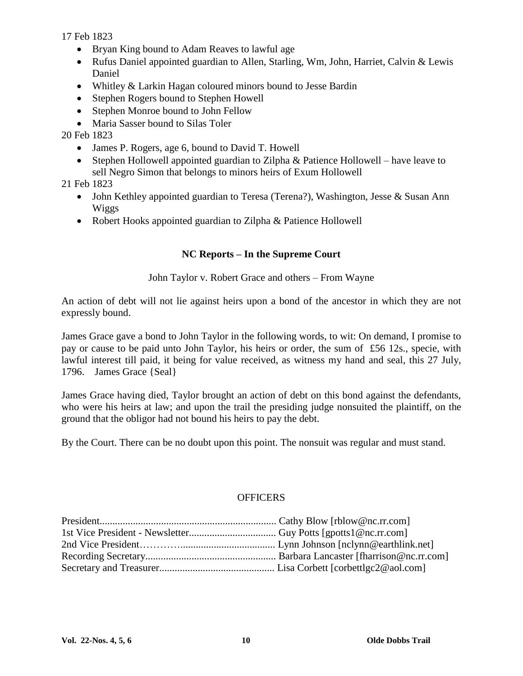17 Feb 1823

- Bryan King bound to Adam Reaves to lawful age
- Rufus Daniel appointed guardian to Allen, Starling, Wm, John, Harriet, Calvin & Lewis Daniel
- Whitley & Larkin Hagan coloured minors bound to Jesse Bardin
- Stephen Rogers bound to Stephen Howell
- Stephen Monroe bound to John Fellow
- Maria Sasser bound to Silas Toler

20 Feb 1823

- James P. Rogers, age 6, bound to David T. Howell
- Stephen Hollowell appointed guardian to Zilpha & Patience Hollowell have leave to sell Negro Simon that belongs to minors heirs of Exum Hollowell

21 Feb 1823

- John Kethley appointed guardian to Teresa (Terena?), Washington, Jesse & Susan Ann Wiggs
- Robert Hooks appointed guardian to Zilpha & Patience Hollowell

### **NC Reports –In the Supreme Court**

John Taylor v. Robert Grace and others – From Wayne

An action of debt will not lie against heirs upon a bond of the ancestor in which they are not expressly bound.

James Grace gave a bond to John Taylor in the following words, to wit: On demand, I promise to pay or cause to be paid unto John Taylor, his heirs or order, the sum of £56 12s., specie, with lawful interest till paid, it being for value received, as witness my hand and seal, this 27 July, 1796. James Grace {Seal}

James Grace having died, Taylor brought an action of debt on this bond against the defendants, who were his heirs at law; and upon the trail the presiding judge nonsuited the plaintiff, on the ground that the obligor had not bound his heirs to pay the debt.

By the Court. There can be no doubt upon this point. The nonsuit was regular and must stand.

#### **OFFICERS**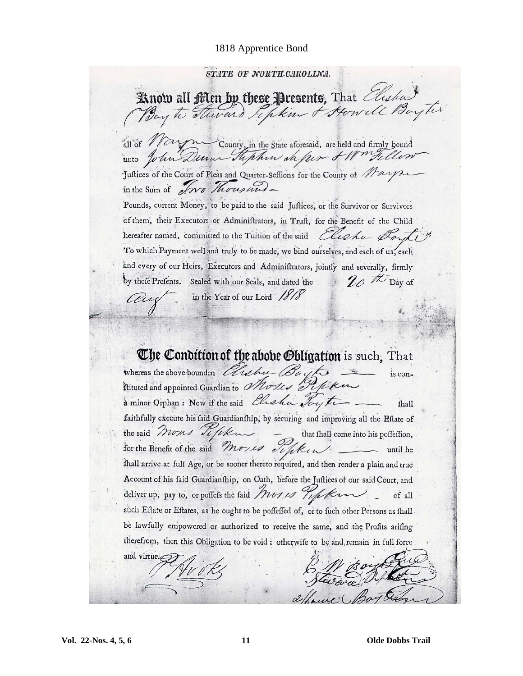#### 1818 Apprentice Bond

STATE OF NORTH-CAROLINA. Know all Men by these Presents, That Elisha Bay to steward Septem & Howell Boy ter all of Naym County, in the State aforesaid, are held and firmly bound unto John Dunn Hephen da fer & Wortelle Juftices of the Court of Pleas and Quarter-Seffions for the County of May in the Sum of Now Thousand -Pounds, current Money, to be paid to the said Juftices, or the Survivor or Survivors of them, their Executors or Adminiftrators, in Truft, for the Benefit of the Child hereafter named, committed to the Tuition of the said Cliphu Dard

To which Payment well and truly to be made, we bind ourselves, and each of us, each and every of our Heirs, Executors and Adminiftrators, jointly and severally, firmly by thefe Prefents. Sealed with our Seals, and dated the  $2\rho$  the Day of

in the Year of our Lord 1818

au

The Condition of the abobe Obligation is such, That Whereas the above bounden Elishu Baytes is conà minor Orphan: Now if the said Clisha Toyte fhall faithfully execute his faid Guardianfhip, by securing and improving all the Eflate of the said Morns Tifik that fhall come into his poffeffion, for the Benefit of the said Mories Tighten until he thall arrive at full Age, or be sooner thereto required, and then render a plain and true Account of his faid Guardianship, on Oath, before the Juftices of our said Court, and deliver up, pay to, or poffefs the faid Mores hope term of all such Eftate or Eftates, as he ought to be poffeffed of, or to fuch other Persons as fhall be lawfully empowered or authorized to receive the same, and the Profits arifing therefrom, then this Obligation to be void : otherwife to be and remain in full force and virtue.